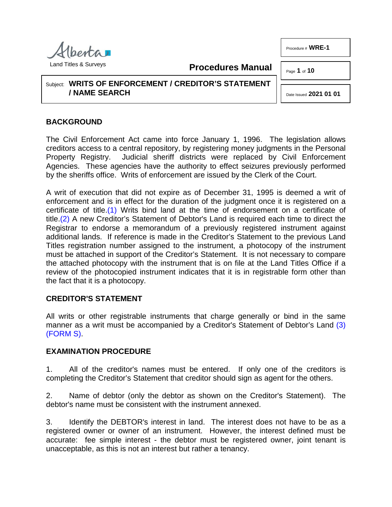

Procedure # **WRE-1**

Page **1** of **10**

## Subject: **WRITS OF ENFORCEMENT / CREDITOR'S STATEMENT / NAME SEARCH**

<span id="page-0-2"></span>Date Issued **2021 01 01**

# **BACKGROUND**

The Civil Enforcement Act came into force January 1, 1996. The legislation allows creditors access to a central repository, by registering money judgments in the Personal Property Registry. Judicial sheriff districts were replaced by Civil Enforcement Agencies. These agencies have the authority to effect seizures previously performed by the sheriffs office. Writs of enforcement are issued by the Clerk of the Court.

**Procedures Manual**

<span id="page-0-1"></span><span id="page-0-0"></span>A writ of execution that did not expire as of December 31, 1995 is deemed a writ of enforcement and is in effect for the duration of the judgment once it is registered on a certificate of title[.\(1\)](#page-9-0) Writs bind land at the time of endorsement on a certificate of title[.\(2\)](#page-9-1) A new Creditor's Statement of Debtor's Land is required each time to direct the Registrar to endorse a memorandum of a previously registered instrument against additional lands. If reference is made in the Creditor's Statement to the previous Land Titles registration number assigned to the instrument, a photocopy of the instrument must be attached in support of the Creditor's Statement. It is not necessary to compare the attached photocopy with the instrument that is on file at the Land Titles Office if a review of the photocopied instrument indicates that it is in registrable form other than the fact that it is a photocopy.

## **CREDITOR'S STATEMENT**

All writs or other registrable instruments that charge generally or bind in the same manner as a writ must be accompanied by a Creditor's Statement of Debtor's Land [\(3\)](#page-9-2) [\(FORM S\).](http://www.servicealberta.ca/pdf/ltmanual/FORMS.pdf)

## **EXAMINATION PROCEDURE**

1. All of the creditor's names must be entered. If only one of the creditors is completing the Creditor's Statement that creditor should sign as agent for the others.

2. Name of debtor (only the debtor as shown on the Creditor's Statement). The debtor's name must be consistent with the instrument annexed.

3. Identify the DEBTOR's interest in land. The interest does not have to be as a registered owner or owner of an instrument. However, the interest defined must be accurate: fee simple interest - the debtor must be registered owner, joint tenant is unacceptable, as this is not an interest but rather a tenancy.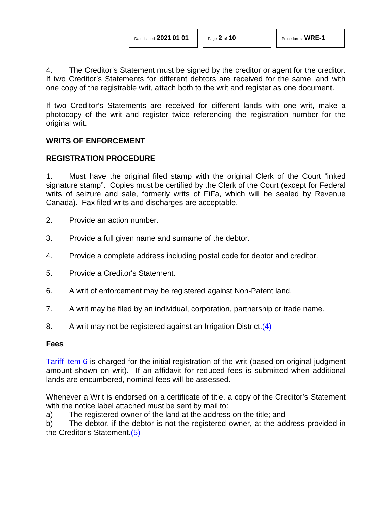4. The Creditor's Statement must be signed by the creditor or agent for the creditor. If two Creditor's Statements for different debtors are received for the same land with one copy of the registrable writ, attach both to the writ and register as one document.

If two Creditor's Statements are received for different lands with one writ, make a photocopy of the writ and register twice referencing the registration number for the original writ.

#### **WRITS OF ENFORCEMENT**

#### **REGISTRATION PROCEDURE**

1. Must have the original filed stamp with the original Clerk of the Court "inked signature stamp". Copies must be certified by the Clerk of the Court (except for Federal writs of seizure and sale, formerly writs of FiFa, which will be sealed by Revenue Canada). Fax filed writs and discharges are acceptable.

- 2. Provide an action number.
- 3. Provide a full given name and surname of the debtor.
- 4. Provide a complete address including postal code for debtor and creditor.
- 5. Provide a Creditor's Statement.
- 6. A writ of enforcement may be registered against Non-Patent land.
- 7. A writ may be filed by an individual, corporation, partnership or trade name.
- <span id="page-1-0"></span>8. A writ may not be registered against an Irrigation District[.\(4\)](#page-9-3)

#### **Fees**

[Tariff item 6](http://www.servicealberta.ca/pdf/ltmanual/APPENDIXI.pdf) is charged for the initial registration of the writ (based on original judgment amount shown on writ). If an affidavit for reduced fees is submitted when additional lands are encumbered, nominal fees will be assessed.

Whenever a Writ is endorsed on a certificate of title, a copy of the Creditor's Statement with the notice label attached must be sent by mail to:

a) The registered owner of the land at the address on the title; and

b) The debtor, if the debtor is not the registered owner, at the address provided in the Creditor's Statement[.\(5\)](#page-9-4)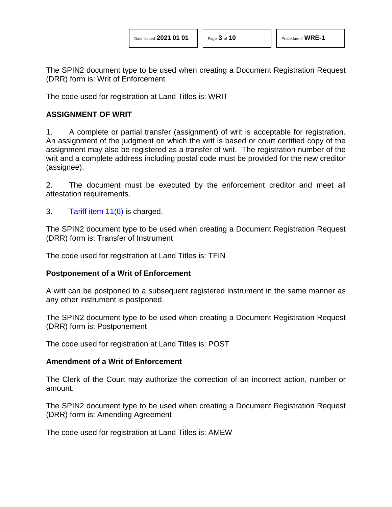The SPIN2 document type to be used when creating a Document Registration Request (DRR) form is: Writ of Enforcement

The code used for registration at Land Titles is: WRIT

#### **ASSIGNMENT OF WRIT**

1. A complete or partial transfer (assignment) of writ is acceptable for registration. An assignment of the judgment on which the writ is based or court certified copy of the assignment may also be registered as a transfer of writ. The registration number of the writ and a complete address including postal code must be provided for the new creditor (assignee).

2. The document must be executed by the enforcement creditor and meet all attestation requirements.

3. [Tariff item 11\(6\)](http://www.servicealberta.ca/pdf/ltmanual/APPENDIXI.pdf) is charged.

The SPIN2 document type to be used when creating a Document Registration Request (DRR) form is: Transfer of Instrument

The code used for registration at Land Titles is: TFIN

#### **Postponement of a Writ of Enforcement**

A writ can be postponed to a subsequent registered instrument in the same manner as any other instrument is postponed.

The SPIN2 document type to be used when creating a Document Registration Request (DRR) form is: Postponement

The code used for registration at Land Titles is: POST

#### **Amendment of a Writ of Enforcement**

The Clerk of the Court may authorize the correction of an incorrect action, number or amount.

The SPIN2 document type to be used when creating a Document Registration Request (DRR) form is: Amending Agreement

The code used for registration at Land Titles is: AMEW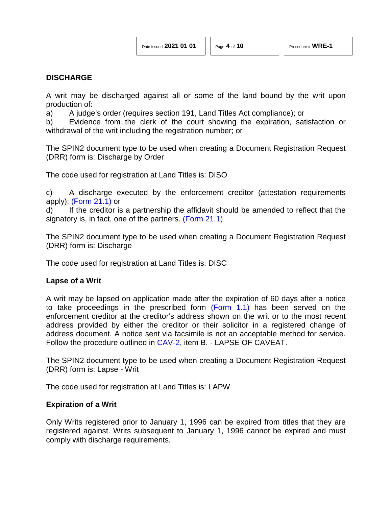## **DISCHARGE**

A writ may be discharged against all or some of the land bound by the writ upon production of:

a) A judge's order (requires section 191, Land Titles Act compliance); or

b) Evidence from the clerk of the court showing the expiration, satisfaction or withdrawal of the writ including the registration number; or

The SPIN2 document type to be used when creating a Document Registration Request (DRR) form is: Discharge by Order

The code used for registration at Land Titles is: DISO

c) A discharge executed by the enforcement creditor (attestation requirements apply); [\(Form 21.1\)](http://www.servicealberta.ca/pdf/ltmanual/FORM21.1.pdf) or

d) If the creditor is a partnership the affidavit should be amended to reflect that the signatory is, in fact, one of the partners. [\(Form 21.1\)](http://www.servicealberta.ca/pdf/ltmanual/FORM21.1.pdf)

The SPIN2 document type to be used when creating a Document Registration Request (DRR) form is: Discharge

The code used for registration at Land Titles is: DISC

#### **Lapse of a Writ**

A writ may be lapsed on application made after the expiration of 60 days after a notice to take proceedings in the prescribed form [\(Form 1.1\)](http://www.servicealberta.ca/pdf/ltmanual/FORM1.1.pdf) has been served on the enforcement creditor at the creditor's address shown on the writ or to the most recent address provided by either the creditor or their solicitor in a registered change of address document. A notice sent via facsimile is not an acceptable method for service. Follow the procedure outlined in [CAV-2,](http://www.servicealberta.ca/pdf/ltmanual/CAV-2.pdf) item B. - LAPSE OF CAVEAT.

The SPIN2 document type to be used when creating a Document Registration Request (DRR) form is: Lapse - Writ

The code used for registration at Land Titles is: LAPW

#### **Expiration of a Writ**

Only Writs registered prior to January 1, 1996 can be expired from titles that they are registered against. Writs subsequent to January 1, 1996 cannot be expired and must comply with discharge requirements.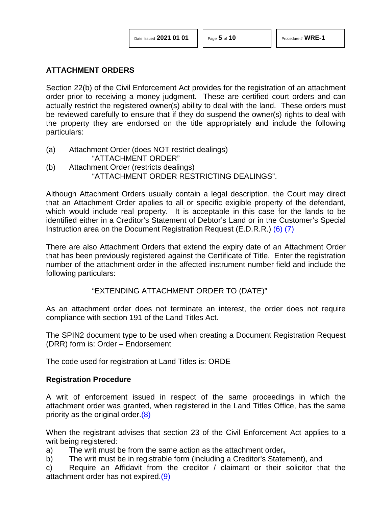#### **ATTACHMENT ORDERS**

Section 22(b) of the Civil Enforcement Act provides for the registration of an attachment order prior to receiving a money judgment. These are certified court orders and can actually restrict the registered owner(s) ability to deal with the land. These orders must be reviewed carefully to ensure that if they do suspend the owner(s) rights to deal with the property they are endorsed on the title appropriately and include the following particulars:

(a) Attachment Order (does NOT restrict dealings) "ATTACHMENT ORDER" (b) Attachment Order (restricts dealings) "ATTACHMENT ORDER RESTRICTING DEALINGS".

Although Attachment Orders usually contain a legal description, the Court may direct that an Attachment Order applies to all or specific exigible property of the defendant, which would include real property. It is acceptable in this case for the lands to be identified either in a Creditor's Statement of Debtor's Land or in the Customer's Special Instruction area on the Document Registration Request (E.D.R.R.) [\(6\)](#page-9-5) [\(7\)](#page-9-6)

There are also Attachment Orders that extend the expiry date of an Attachment Order that has been previously registered against the Certificate of Title. Enter the registration number of the attachment order in the affected instrument number field and include the following particulars:

#### <span id="page-4-1"></span><span id="page-4-0"></span>"EXTENDING ATTACHMENT ORDER TO (DATE)"

As an attachment order does not terminate an interest, the order does not require compliance with section 191 of the Land Titles Act.

The SPIN2 document type to be used when creating a Document Registration Request (DRR) form is: Order – Endorsement

The code used for registration at Land Titles is: ORDE

#### **Registration Procedure**

<span id="page-4-2"></span>A writ of enforcement issued in respect of the same proceedings in which the attachment order was granted, when registered in the Land Titles Office, has the same priority as the original order[.\(8\)](#page-9-7)

When the registrant advises that section 23 of the Civil Enforcement Act applies to a writ being registered:

a) The writ must be from the same action as the attachment order**,**

b) The writ must be in registrable form (including a Creditor's Statement), and

<span id="page-4-3"></span>c) Require an Affidavit from the creditor / claimant or their solicitor that the attachment order has not expired[.\(9\)](#page-9-8)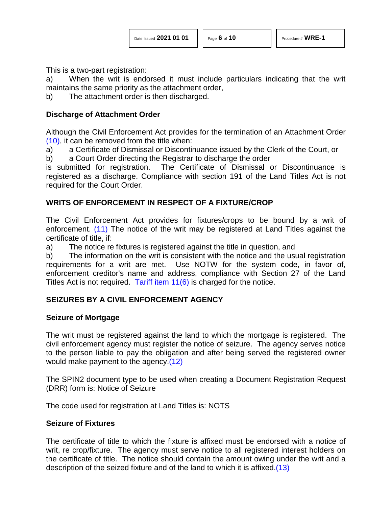This is a two-part registration:

a) When the writ is endorsed it must include particulars indicating that the writ maintains the same priority as the attachment order,

b) The attachment order is then discharged.

#### **Discharge of Attachment Order**

<span id="page-5-0"></span>Although the Civil Enforcement Act provides for the termination of an Attachment Order [\(10\),](#page-9-9) it can be removed from the title when:

a) a Certificate of Dismissal or Discontinuance issued by the Clerk of the Court, or

b) a Court Order directing the Registrar to discharge the order

is submitted for registration. The Certificate of Dismissal or Discontinuance is registered as a discharge. Compliance with section 191 of the Land Titles Act is not required for the Court Order.

## **WRITS OF ENFORCEMENT IN RESPECT OF A FIXTURE/CROP**

<span id="page-5-1"></span>The Civil Enforcement Act provides for fixtures/crops to be bound by a writ of enforcement. [\(11\)](#page-9-10) The notice of the writ may be registered at Land Titles against the certificate of title, if:

a) The notice re fixtures is registered against the title in question, and

b) The information on the writ is consistent with the notice and the usual registration requirements for a writ are met. Use NOTW for the system code, in favor of, enforcement creditor's name and address, compliance with Section 27 of the Land Titles Act is not required. [Tariff item 11\(6\)](http://www.servicealberta.ca/pdf/ltmanual/APPENDIXI.pdf) is charged for the notice.

## **SEIZURES BY A CIVIL ENFORCEMENT AGENCY**

## **Seizure of Mortgage**

The writ must be registered against the land to which the mortgage is registered. The civil enforcement agency must register the notice of seizure. The agency serves notice to the person liable to pay the obligation and after being served the registered owner would make payment to the agency[.\(12\)](#page-9-11)

<span id="page-5-2"></span>The SPIN2 document type to be used when creating a Document Registration Request (DRR) form is: Notice of Seizure

The code used for registration at Land Titles is: NOTS

## **Seizure of Fixtures**

The certificate of title to which the fixture is affixed must be endorsed with a notice of writ, re crop/fixture. The agency must serve notice to all registered interest holders on the certificate of title. The notice should contain the amount owing under the writ and a description of the seized fixture and of the land to which it is affixed[.\(13\)](#page-9-12)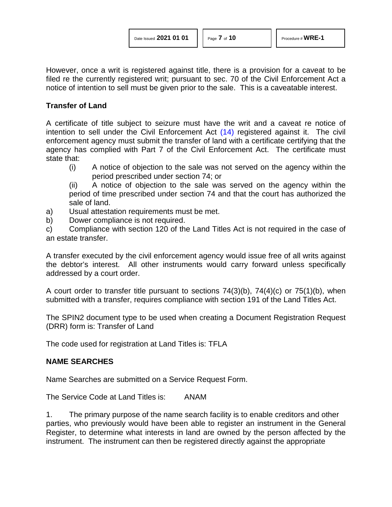However, once a writ is registered against title, there is a provision for a caveat to be filed re the currently registered writ; pursuant to sec. 70 of the Civil Enforcement Act a notice of intention to sell must be given prior to the sale. This is a caveatable interest.

#### **Transfer of Land**

A certificate of title subject to seizure must have the writ and a caveat re notice of intention to sell under the Civil Enforcement Act [\(14\)](#page-9-13) registered against it. The civil enforcement agency must submit the transfer of land with a certificate certifying that the agency has complied with Part 7 of the Civil Enforcement Act. The certificate must state that:

- <span id="page-6-0"></span>(i) A notice of objection to the sale was not served on the agency within the period prescribed under section 74; or
- (ii) A notice of objection to the sale was served on the agency within the period of time prescribed under section 74 and that the court has authorized the sale of land.
- a) Usual attestation requirements must be met.
- b) Dower compliance is not required.
- c) Compliance with section 120 of the Land Titles Act is not required in the case of an estate transfer.

A transfer executed by the civil enforcement agency would issue free of all writs against the debtor's interest. All other instruments would carry forward unless specifically addressed by a court order.

A court order to transfer title pursuant to sections 74(3)(b), 74(4)(c) or 75(1)(b), when submitted with a transfer, requires compliance with section 191 of the Land Titles Act.

The SPIN2 document type to be used when creating a Document Registration Request (DRR) form is: Transfer of Land

The code used for registration at Land Titles is: TFLA

## **NAME SEARCHES**

Name Searches are submitted on a Service Request Form.

The Service Code at Land Titles is: ANAM

1. The primary purpose of the name search facility is to enable creditors and other parties, who previously would have been able to register an instrument in the General Register, to determine what interests in land are owned by the person affected by the instrument. The instrument can then be registered directly against the appropriate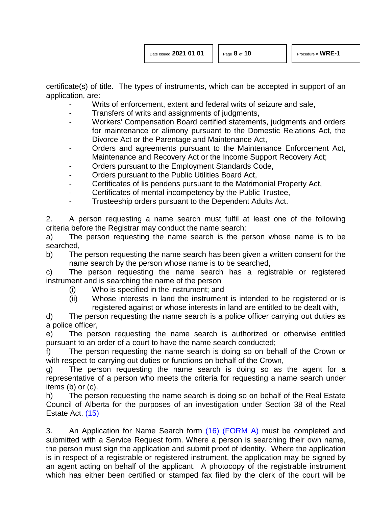certificate(s) of title. The types of instruments, which can be accepted in support of an application, are:

- Writs of enforcement, extent and federal writs of seizure and sale,
- Transfers of writs and assignments of judgments,
- Workers' Compensation Board certified statements, judgments and orders for maintenance or alimony pursuant to the Domestic Relations Act, the Divorce Act or the Parentage and Maintenance Act,
- Orders and agreements pursuant to the Maintenance Enforcement Act, Maintenance and Recovery Act or the Income Support Recovery Act;
- Orders pursuant to the Employment Standards Code,
- Orders pursuant to the Public Utilities Board Act,
- Certificates of lis pendens pursuant to the Matrimonial Property Act,
- Certificates of mental incompetency by the Public Trustee,
- Trusteeship orders pursuant to the Dependent Adults Act.

2. A person requesting a name search must fulfil at least one of the following criteria before the Registrar may conduct the name search:

a) The person requesting the name search is the person whose name is to be searched,

b) The person requesting the name search has been given a written consent for the name search by the person whose name is to be searched,

c) The person requesting the name search has a registrable or registered instrument and is searching the name of the person

- (i) Who is specified in the instrument; and
- (ii) Whose interests in land the instrument is intended to be registered or is registered against or whose interests in land are entitled to be dealt with,

d) The person requesting the name search is a police officer carrying out duties as a police officer,

e) The person requesting the name search is authorized or otherwise entitled pursuant to an order of a court to have the name search conducted;

f) The person requesting the name search is doing so on behalf of the Crown or with respect to carrying out duties or functions on behalf of the Crown,

g) The person requesting the name search is doing so as the agent for a representative of a person who meets the criteria for requesting a name search under items (b) or (c).

<span id="page-7-0"></span>h) The person requesting the name search is doing so on behalf of the Real Estate Council of Alberta for the purposes of an investigation under Section 38 of the Real Estate Act. [\(15\)](#page-9-14)

<span id="page-7-1"></span>3. An Application for Name Search form [\(16\)](#page-9-15) [\(FORM A\)](http://www.servicealberta.ca/pdf/ltmanual/WRE-1-FORMA.pdf) must be completed and submitted with a Service Request form. Where a person is searching their own name, the person must sign the application and submit proof of identity. Where the application is in respect of a registrable or registered instrument, the application may be signed by an agent acting on behalf of the applicant. A photocopy of the registrable instrument which has either been certified or stamped fax filed by the clerk of the court will be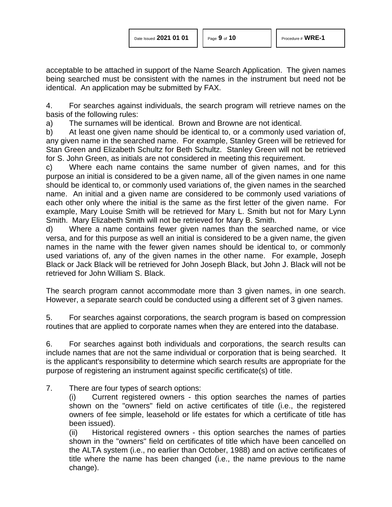acceptable to be attached in support of the Name Search Application. The given names being searched must be consistent with the names in the instrument but need not be identical. An application may be submitted by FAX.

4. For searches against individuals, the search program will retrieve names on the basis of the following rules:

a) The surnames will be identical. Brown and Browne are not identical.

b) At least one given name should be identical to, or a commonly used variation of, any given name in the searched name. For example, Stanley Green will be retrieved for Stan Green and Elizabeth Schultz for Beth Schultz. Stanley Green will not be retrieved for S. John Green, as initials are not considered in meeting this requirement.

c) Where each name contains the same number of given names, and for this purpose an initial is considered to be a given name, all of the given names in one name should be identical to, or commonly used variations of, the given names in the searched name. An initial and a given name are considered to be commonly used variations of each other only where the initial is the same as the first letter of the given name. For example, Mary Louise Smith will be retrieved for Mary L. Smith but not for Mary Lynn Smith. Mary Elizabeth Smith will not be retrieved for Mary B. Smith.

d) Where a name contains fewer given names than the searched name, or vice versa, and for this purpose as well an initial is considered to be a given name, the given names in the name with the fewer given names should be identical to, or commonly used variations of, any of the given names in the other name. For example, Joseph Black or Jack Black will be retrieved for John Joseph Black, but John J. Black will not be retrieved for John William S. Black.

The search program cannot accommodate more than 3 given names, in one search. However, a separate search could be conducted using a different set of 3 given names.

5. For searches against corporations, the search program is based on compression routines that are applied to corporate names when they are entered into the database.

6. For searches against both individuals and corporations, the search results can include names that are not the same individual or corporation that is being searched. It is the applicant's responsibility to determine which search results are appropriate for the purpose of registering an instrument against specific certificate(s) of title.

7. There are four types of search options:

(i) Current registered owners - this option searches the names of parties shown on the "owners" field on active certificates of title (i.e., the registered owners of fee simple, leasehold or life estates for which a certificate of title has been issued).

(ii) Historical registered owners - this option searches the names of parties shown in the "owners" field on certificates of title which have been cancelled on the ALTA system (i.e., no earlier than October, 1988) and on active certificates of title where the name has been changed (i.e., the name previous to the name change).